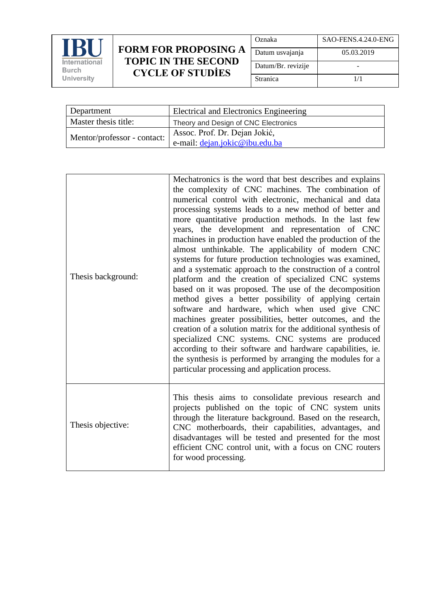

## **FORM FOR PROPOSING A TOPIC IN THE SECOND CYCLE OF STUDİES**

| Oznaka             | SAO-FENS.4.24.0-ENG |
|--------------------|---------------------|
| Datum usvajanja    | 05.03.2019          |
| Datum/Br. revizije |                     |
| Stranica           | 1/1                 |

| Department                  | Electrical and Electronics Engineering |
|-----------------------------|----------------------------------------|
| Master thesis title:        | Theory and Design of CNC Electronics   |
| Mentor/professor - contact: | Assoc. Prof. Dr. Dejan Jokić,          |
|                             | e-mail: dejan.jokic@ibu.edu.ba         |

| Thesis background: | Mechatronics is the word that best describes and explains<br>the complexity of CNC machines. The combination of<br>numerical control with electronic, mechanical and data<br>processing systems leads to a new method of better and<br>more quantitative production methods. In the last few<br>years, the development and representation of CNC<br>machines in production have enabled the production of the<br>almost unthinkable. The applicability of modern CNC<br>systems for future production technologies was examined,<br>and a systematic approach to the construction of a control<br>platform and the creation of specialized CNC systems<br>based on it was proposed. The use of the decomposition<br>method gives a better possibility of applying certain<br>software and hardware, which when used give CNC<br>machines greater possibilities, better outcomes, and the<br>creation of a solution matrix for the additional synthesis of<br>specialized CNC systems. CNC systems are produced<br>according to their software and hardware capabilities, ie.<br>the synthesis is performed by arranging the modules for a<br>particular processing and application process. |
|--------------------|---------------------------------------------------------------------------------------------------------------------------------------------------------------------------------------------------------------------------------------------------------------------------------------------------------------------------------------------------------------------------------------------------------------------------------------------------------------------------------------------------------------------------------------------------------------------------------------------------------------------------------------------------------------------------------------------------------------------------------------------------------------------------------------------------------------------------------------------------------------------------------------------------------------------------------------------------------------------------------------------------------------------------------------------------------------------------------------------------------------------------------------------------------------------------------------------|
| Thesis objective:  | This thesis aims to consolidate previous research and<br>projects published on the topic of CNC system units<br>through the literature background. Based on the research,<br>CNC motherboards, their capabilities, advantages, and<br>disadvantages will be tested and presented for the most<br>efficient CNC control unit, with a focus on CNC routers<br>for wood processing.                                                                                                                                                                                                                                                                                                                                                                                                                                                                                                                                                                                                                                                                                                                                                                                                            |